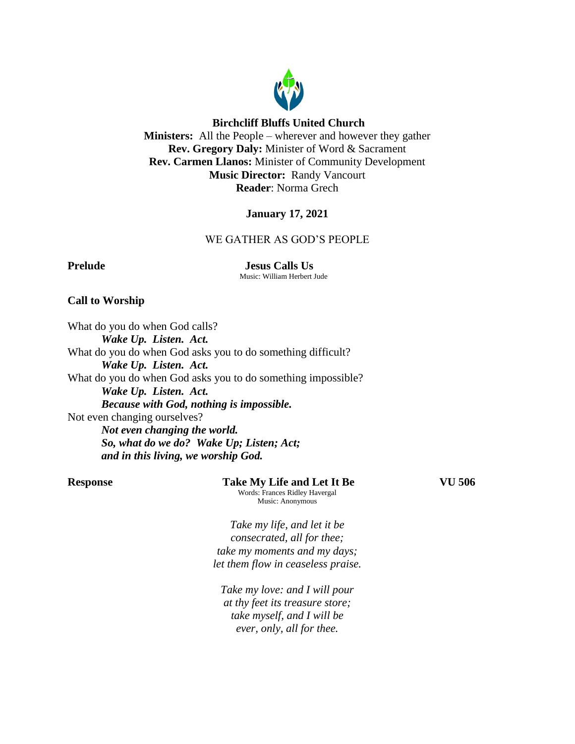

### **Birchcliff Bluffs United Church**

**Ministers:** All the People – wherever and however they gather **Rev. Gregory Daly:** Minister of Word & Sacrament **Rev. Carmen Llanos:** Minister of Community Development **Music Director:** Randy Vancourt **Reader**: Norma Grech

# **January 17, 2021**

# WE GATHER AS GOD'S PEOPLE

**Prelude Jesus Calls Us** Music: William Herbert Jude

### **Call to Worship**

What do you do when God calls? *Wake Up. Listen. Act.* What do you do when God asks you to do something difficult? *Wake Up. Listen. Act.* What do you do when God asks you to do something impossible? *Wake Up. Listen. Act. Because with God, nothing is impossible.* Not even changing ourselves? *Not even changing the world. So, what do we do? Wake Up; Listen; Act; and in this living, we worship God.*

**Response Take My Life and Let It Be VU 506** Words: Frances Ridley Havergal Music: Anonymous

*Take my life, and let it be consecrated, all for thee; take my moments and my days; let them flow in ceaseless praise.*

*Take my love: and I will pour at thy feet its treasure store; take myself, and I will be ever, only, all for thee.*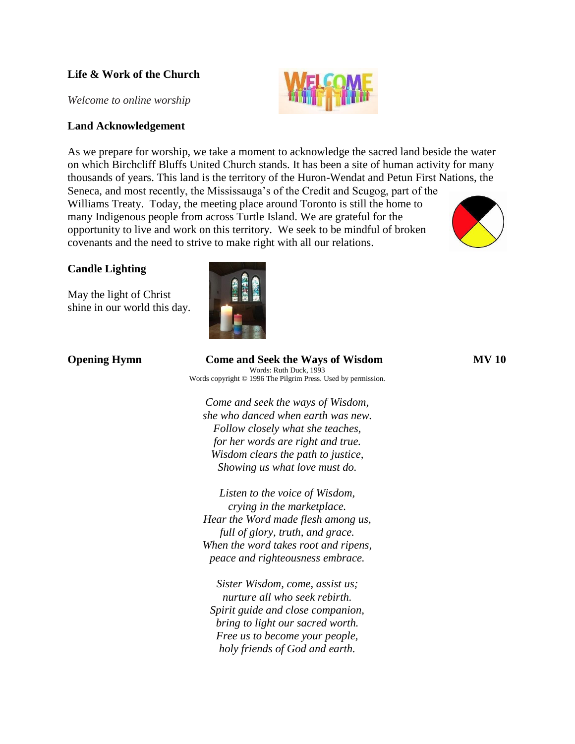# **Life & Work of the Church**

*Welcome to online worship*

## **Land Acknowledgement**

As we prepare for worship, we take a moment to acknowledge the sacred land beside the water on which Birchcliff Bluffs United Church stands. It has been a site of human activity for many thousands of years. This land is the territory of the Huron-Wendat and Petun First Nations, the Seneca, and most recently, the Mississauga's of the Credit and Scugog, part of the

Williams Treaty. Today, the meeting place around Toronto is still the home to many Indigenous people from across Turtle Island. We are grateful for the opportunity to live and work on this territory. We seek to be mindful of broken covenants and the need to strive to make right with all our relations.

# **Candle Lighting**

May the light of Christ shine in our world this day.



| <b>Opening Hymn</b> | <b>Come and Seek the Ways of Wisdom</b><br>Words: Ruth Duck, 1993   | <b>MV 10</b> |
|---------------------|---------------------------------------------------------------------|--------------|
|                     | Words copyright $\odot$ 1996 The Pilgrim Press. Used by permission. |              |
|                     | Come and seek the ways of Wisdom,                                   |              |
|                     | she who danced when earth was new.                                  |              |
|                     | Follow closely what she teaches,                                    |              |
|                     | for her words are right and true.                                   |              |

*Listen to the voice of Wisdom, crying in the marketplace. Hear the Word made flesh among us, full of glory, truth, and grace. When the word takes root and ripens, peace and righteousness embrace.*

*Wisdom clears the path to justice, Showing us what love must do.*

*Sister Wisdom, come, assist us; nurture all who seek rebirth. Spirit guide and close companion, bring to light our sacred worth. Free us to become your people, holy friends of God and earth.*

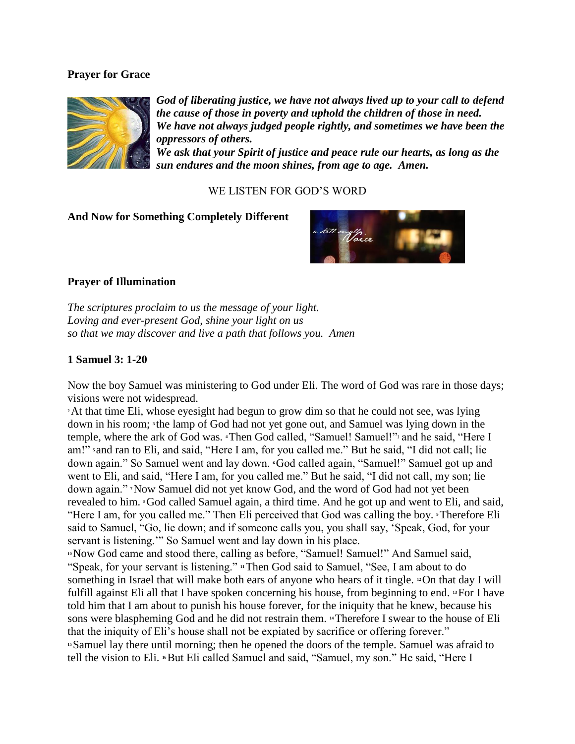# **Prayer for Grace**



*God of liberating justice, we have not always lived up to your call to defend the cause of those in poverty and uphold the children of those in need. We have not always judged people rightly, and sometimes we have been the oppressors of others.*

*We ask that your Spirit of justice and peace rule our hearts, as long as the sun endures and the moon shines, from age to age. Amen.*

# WE LISTEN FOR GOD'S WORD

## **And Now for Something Completely Different**



# **Prayer of Illumination**

*The scriptures proclaim to us the message of your light. Loving and ever-present God, shine your light on us so that we may discover and live a path that follows you. Amen*

# **1 Samuel 3: 1-20**

Now the boy Samuel was ministering to God under Eli. The word of God was rare in those days; visions were not widespread.

**<sup>2</sup>**At that time Eli, whose eyesight had begun to grow dim so that he could not see, was lying down in his room; <sup>3</sup> the lamp of God had not yet gone out, and Samuel was lying down in the temple, where the ark of God was. **4Then God called, "Samuel! Samuel!"** and he said, "Here I am!" **<sup>5</sup>** and ran to Eli, and said, "Here I am, for you called me." But he said, "I did not call; lie down again." So Samuel went and lay down. **<sup>6</sup>**God called again, "Samuel!" Samuel got up and went to Eli, and said, "Here I am, for you called me." But he said, "I did not call, my son; lie down again." **<sup>7</sup>**Now Samuel did not yet know God, and the word of God had not yet been revealed to him. **<sup>8</sup>**God called Samuel again, a third time. And he got up and went to Eli, and said, "Here I am, for you called me." Then Eli perceived that God was calling the boy. **<sup>9</sup>**Therefore Eli said to Samuel, "Go, lie down; and if someone calls you, you shall say, 'Speak, God, for your servant is listening.'" So Samuel went and lay down in his place.

**<sup>10</sup>**Now God came and stood there, calling as before, "Samuel! Samuel!" And Samuel said, "Speak, for your servant is listening." **<sup>11</sup>**Then God said to Samuel, "See, I am about to do something in Israel that will make both ears of anyone who hears of it tingle. **<sup>12</sup>**On that day I will fulfill against Eli all that I have spoken concerning his house, from beginning to end. **<sup>13</sup>**For I have told him that I am about to punish his house forever, for the iniquity that he knew, because his sons were blaspheming God and he did not restrain them. **<sup>14</sup>**Therefore I swear to the house of Eli that the iniquity of Eli's house shall not be expiated by sacrifice or offering forever." **<sup>15</sup>**Samuel lay there until morning; then he opened the doors of the temple. Samuel was afraid to tell the vision to Eli. <sup>16</sup>But Eli called Samuel and said, "Samuel, my son." He said, "Here I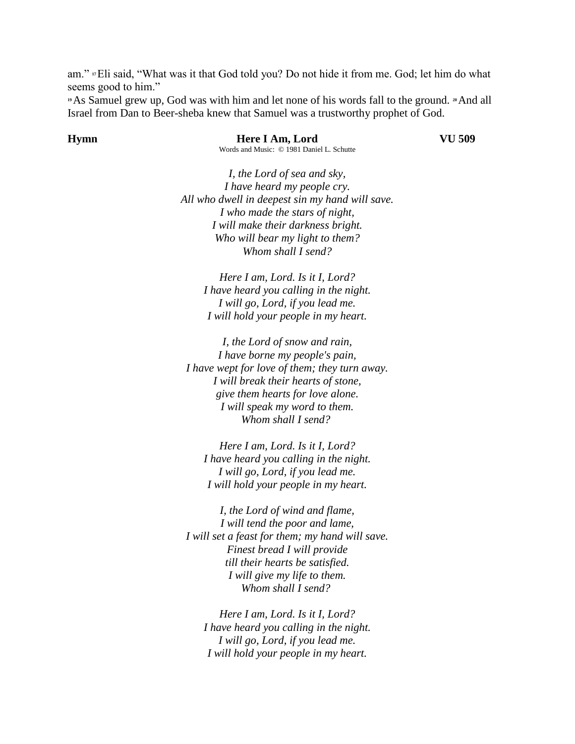am." **<sup>17</sup>**Eli said, "What was it that God told you? Do not hide it from me. God; let him do what seems good to him."

**<sup>19</sup>**As Samuel grew up, God was with him and let none of his words fall to the ground. **<sup>20</sup>**And all Israel from Dan to Beer-sheba knew that Samuel was a trustworthy prophet of God.

**Hymn Here I Am, Lord VU 509** Words and Music: © 1981 Daniel L. Schutte

*I, the Lord of sea and sky, I have heard my people cry. All who dwell in deepest sin my hand will save. I who made the stars of night, I will make their darkness bright. Who will bear my light to them? Whom shall I send?*

> *Here I am, Lord. Is it I, Lord? I have heard you calling in the night. I will go, Lord, if you lead me. I will hold your people in my heart.*

*I, the Lord of snow and rain, I have borne my people's pain, I have wept for love of them; they turn away. I will break their hearts of stone, give them hearts for love alone. I will speak my word to them. Whom shall I send?*

*Here I am, Lord. Is it I, Lord? I have heard you calling in the night. I will go, Lord, if you lead me. I will hold your people in my heart.*

*I, the Lord of wind and flame, I will tend the poor and lame, I will set a feast for them; my hand will save. Finest bread I will provide till their hearts be satisfied. I will give my life to them. Whom shall I send?*

*Here I am, Lord. Is it I, Lord? I have heard you calling in the night. I will go, Lord, if you lead me. I will hold your people in my heart.*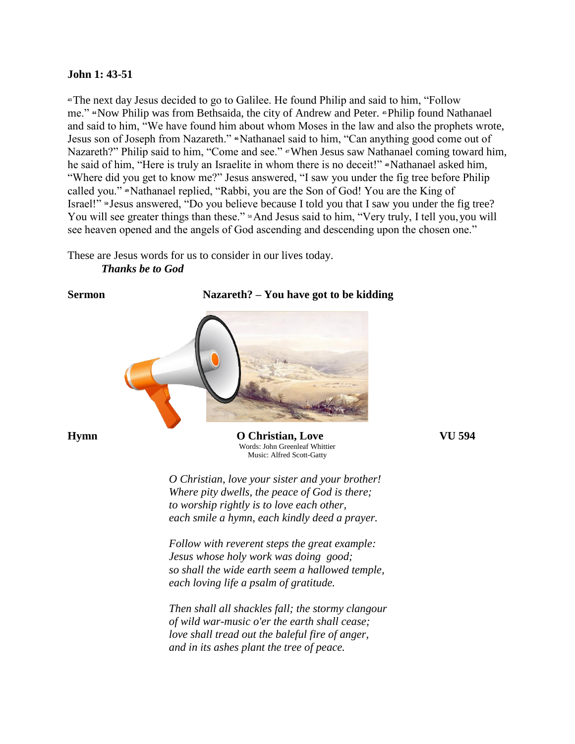### **John 1: 43-51**

**<sup>43</sup>**The next day Jesus decided to go to Galilee. He found Philip and said to him, "Follow me." **<sup>44</sup>**Now Philip was from Bethsaida, the city of Andrew and Peter. **<sup>45</sup>**Philip found Nathanael and said to him, "We have found him about whom Moses in the law and also the prophets wrote, Jesus son of Joseph from Nazareth." **4**Nathanael said to him, "Can anything good come out of Nazareth?" Philip said to him, "Come and see." *47When Jesus saw Nathanael coming toward him,* he said of him, "Here is truly an Israelite in whom there is no deceit!" \*Nathanael asked him, "Where did you get to know me?" Jesus answered, "I saw you under the fig tree before Philip called you." **<sup>49</sup>**Nathanael replied, "Rabbi, you are the Son of God! You are the King of Israel!" <sup>50</sup> Jesus answered, "Do you believe because I told you that I saw you under the fig tree? You will see greater things than these." <sup>51</sup>And Jesus said to him, "Very truly, I tell you, you will see heaven opened and the angels of God ascending and descending upon the chosen one."

These are Jesus words for us to consider in our lives today. *Thanks be to God*

## **Sermon Nazareth? – You have got to be kidding**



**Hymn O Christian, Love VU 594** Words: John Greenleaf Whittier Music: Alfred Scott-Gatty

> *O Christian, love your sister and your brother! Where pity dwells, the peace of God is there; to worship rightly is to love each other, each smile a hymn, each kindly deed a prayer.*

> *Follow with reverent steps the great example: Jesus whose holy work was doing good; so shall the wide earth seem a hallowed temple, each loving life a psalm of gratitude.*

*Then shall all shackles fall; the stormy clangour of wild war-music o'er the earth shall cease; love shall tread out the baleful fire of anger, and in its ashes plant the tree of peace.*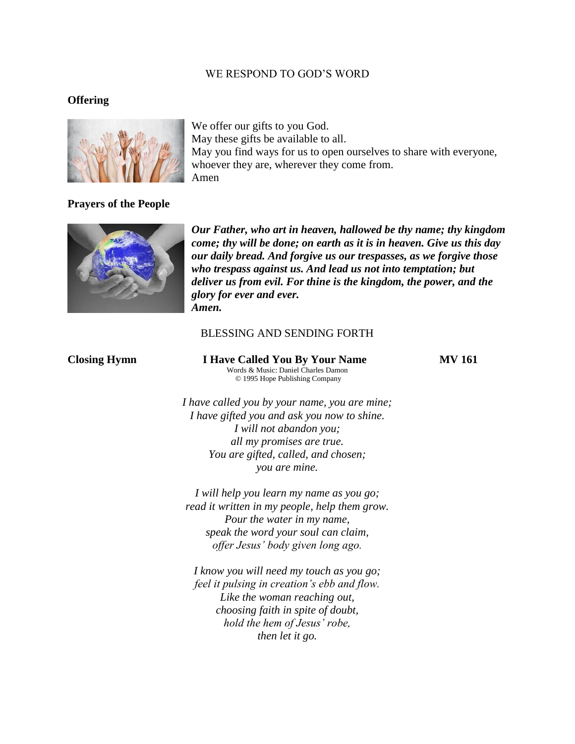## WE RESPOND TO GOD'S WORD

### **Offering**



We offer our gifts to you God. May these gifts be available to all. May you find ways for us to open ourselves to share with everyone, whoever they are, wherever they come from. Amen

## **Prayers of the People**



*Our Father, who art in heaven, hallowed be thy name; thy kingdom come; thy will be done; on earth as it is in heaven. Give us this day our daily bread. And forgive us our trespasses, as we forgive those who trespass against us. And lead us not into temptation; but deliver us from evil. For thine is the kingdom, the power, and the glory for ever and ever. Amen.*

### BLESSING AND SENDING FORTH

**Closing Hymn I Have Called You By Your Name MV 161** Words & Music: Daniel Charles Damon © 1995 Hope Publishing Company

*I have called you by your name, you are mine; I have gifted you and ask you now to shine. I will not abandon you; all my promises are true. You are gifted, called, and chosen; you are mine.*

*I will help you learn my name as you go; read it written in my people, help them grow. Pour the water in my name, speak the word your soul can claim, offer Jesus' body given long ago.*

*I know you will need my touch as you go; feel it pulsing in creation's ebb and flow. Like the woman reaching out, choosing faith in spite of doubt, hold the hem of Jesus' robe, then let it go.*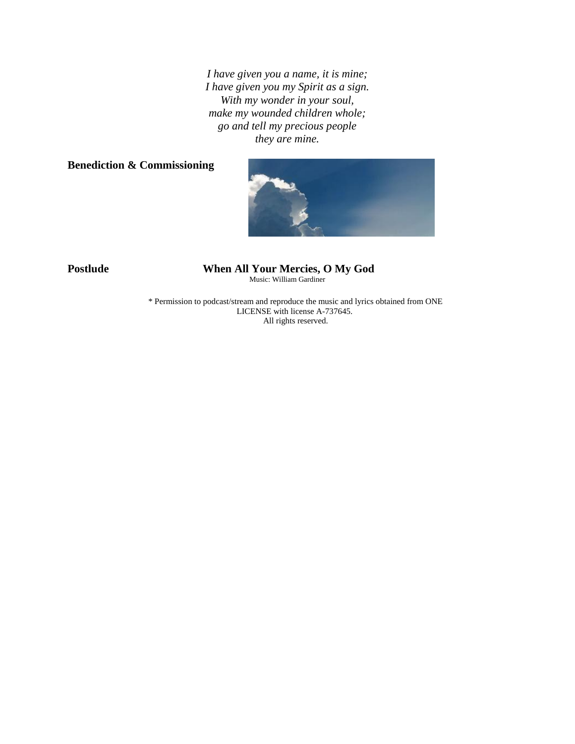*I have given you a name, it is mine; I have given you my Spirit as a sign. With my wonder in your soul, make my wounded children whole; go and tell my precious people they are mine.*

# **Benediction & Commissioning**



### **Postlude When All Your Mercies, O My God** Music: William Gardiner

\* Permission to podcast/stream and reproduce the music and lyrics obtained from ONE LICENSE with license A-737645. All rights reserved.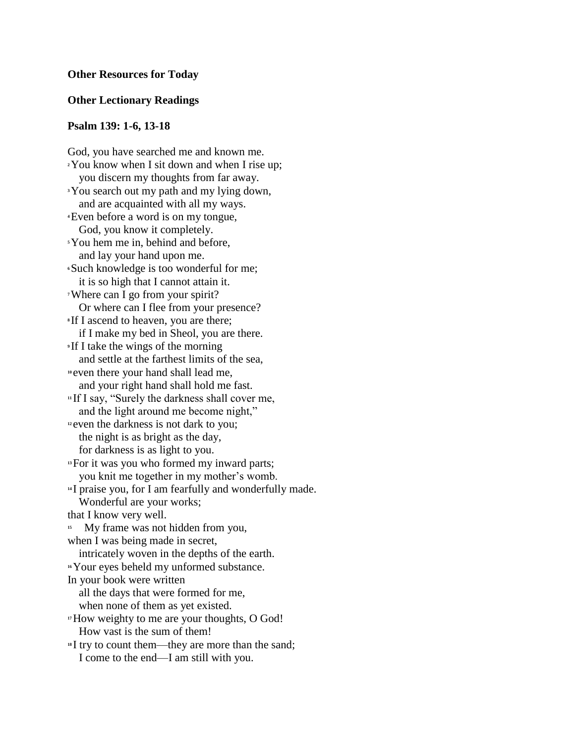### **Other Resources for Today**

## **Other Lectionary Readings**

### **Psalm 139: 1-6, 13-18**

God, you have searched me and known me. **<sup>2</sup>**You know when I sit down and when I rise up; you discern my thoughts from far away. **<sup>3</sup>**You search out my path and my lying down, and are acquainted with all my ways. **<sup>4</sup>**Even before a word is on my tongue, God, you know it completely. **<sup>5</sup>**You hem me in, behind and before, and lay your hand upon me. **<sup>6</sup>**Such knowledge is too wonderful for me; it is so high that I cannot attain it. **<sup>7</sup>**Where can I go from your spirit? Or where can I flee from your presence? **<sup>8</sup>** If I ascend to heaven, you are there; if I make my bed in Sheol, you are there. **<sup>9</sup>** If I take the wings of the morning and settle at the farthest limits of the sea, **<sup>10</sup>** even there your hand shall lead me, and your right hand shall hold me fast. **<sup>11</sup>** If I say, "Surely the darkness shall cover me, and the light around me become night," <sup>12</sup> even the darkness is not dark to you; the night is as bright as the day, for darkness is as light to you. **<sup>13</sup>**For it was you who formed my inward parts; you knit me together in my mother's womb. **<sup>14</sup>** I praise you, for I am fearfully and wonderfully made. Wonderful are your works; that I know very well. <sup>15</sup> My frame was not hidden from you, when I was being made in secret, intricately woven in the depths of the earth. **<sup>16</sup>**Your eyes beheld my unformed substance. In your book were written all the days that were formed for me, when none of them as yet existed. **<sup>17</sup>**How weighty to me are your thoughts, O God! How vast is the sum of them! **<sup>18</sup>** I try to count them—they are more than the sand; I come to the end—I am still with you.